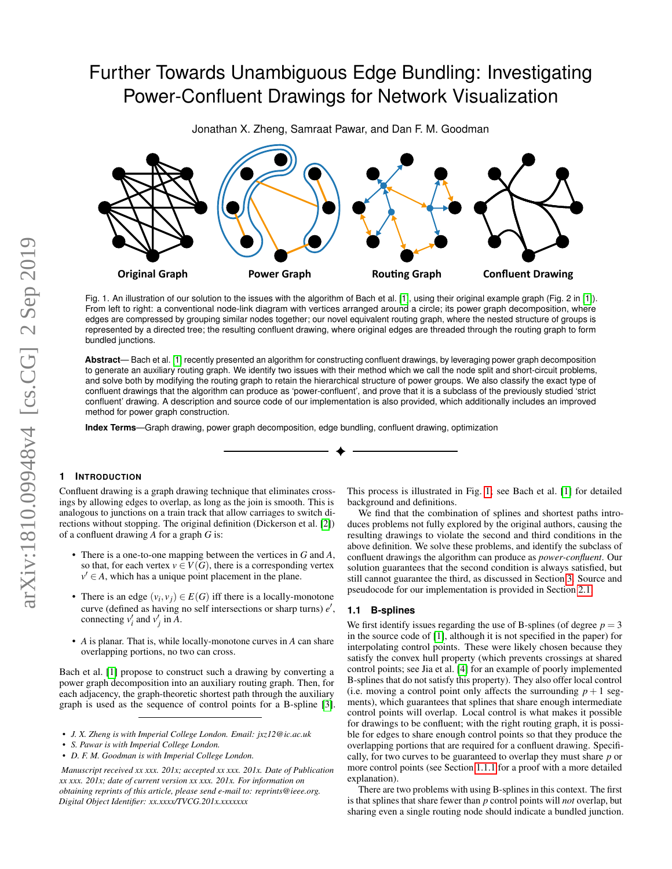# Further Towards Unambiguous Edge Bundling: Investigating Power-Confluent Drawings for Network Visualization

Jonathan X. Zheng, Samraat Pawar, and Dan F. M. Goodman

**Original Graph Power Graph Rou�ng Graph Confluent Drawing**

<span id="page-0-0"></span>Fig. 1. An illustration of our solution to the issues with the algorithm of Bach et al. [\[1\]](#page-5-0), using their original example graph (Fig. 2 in [\[1\]](#page-5-0)). From left to right: a conventional node-link diagram with vertices arranged around a circle; its power graph decomposition, where edges are compressed by grouping similar nodes together; our novel equivalent routing graph, where the nested structure of groups is represented by a directed tree; the resulting confluent drawing, where original edges are threaded through the routing graph to form bundled junctions.

**Abstract**— Bach et al. [\[1\]](#page-5-0) recently presented an algorithm for constructing confluent drawings, by leveraging power graph decomposition to generate an auxiliary routing graph. We identify two issues with their method which we call the node split and short-circuit problems, and solve both by modifying the routing graph to retain the hierarchical structure of power groups. We also classify the exact type of confluent drawings that the algorithm can produce as 'power-confluent', and prove that it is a subclass of the previously studied 'strict confluent' drawing. A description and source code of our implementation is also provided, which additionally includes an improved method for power graph construction.

**Index Terms**—Graph drawing, power graph decomposition, edge bundling, confluent drawing, optimization

## **1 INTRODUCTION**

Confluent drawing is a graph drawing technique that eliminates crossings by allowing edges to overlap, as long as the join is smooth. This is analogous to junctions on a train track that allow carriages to switch directions without stopping. The original definition (Dickerson et al. [\[2\]](#page-5-1)) of a confluent drawing *A* for a graph *G* is:

- There is a one-to-one mapping between the vertices in *G* and *A*, so that, for each vertex  $v \in V(G)$ , there is a corresponding vertex  $v' \in A$ , which has a unique point placement in the plane.
- There is an edge  $(v_i, v_j) \in E(G)$  iff there is a locally-monotone curve (defined as having no self intersections or sharp turns)  $e'$ , connecting  $v'_i$  and  $v'_j$  in  $\overline{A}$ .
- *A* is planar. That is, while locally-monotone curves in *A* can share overlapping portions, no two can cross.

Bach et al. [\[1\]](#page-5-0) propose to construct such a drawing by converting a power graph decomposition into an auxiliary routing graph. Then, for each adjacency, the graph-theoretic shortest path through the auxiliary graph is used as the sequence of control points for a B-spline [\[3\]](#page-5-2).

- *• J. X. Zheng is with Imperial College London. Email: jxz12@ic.ac.uk*
- *• S. Pawar is with Imperial College London.*
- *• D. F. M. Goodman is with Imperial College London.*

*Manuscript received xx xxx. 201x; accepted xx xxx. 201x. Date of Publication xx xxx. 201x; date of current version xx xxx. 201x. For information on obtaining reprints of this article, please send e-mail to: reprints@ieee.org. Digital Object Identifier: xx.xxxx/TVCG.201x.xxxxxxx*

This process is illustrated in Fig. [1;](#page-0-0) see Bach et al. [\[1\]](#page-5-0) for detailed background and definitions.

We find that the combination of splines and shortest paths introduces problems not fully explored by the original authors, causing the resulting drawings to violate the second and third conditions in the above definition. We solve these problems, and identify the subclass of confluent drawings the algorithm can produce as *power-confluent*. Our solution guarantees that the second condition is always satisfied, but still cannot guarantee the third, as discussed in Section [3.](#page-4-0) Source and pseudocode for our implementation is provided in Section [2.1.](#page-2-0)

#### <span id="page-0-1"></span>**1.1 B-splines**

We first identify issues regarding the use of B-splines (of degree  $p = 3$ ) in the source code of [\[1\]](#page-5-0), although it is not specified in the paper) for interpolating control points. These were likely chosen because they satisfy the convex hull property (which prevents crossings at shared control points; see Jia et al. [\[4\]](#page-5-3) for an example of poorly implemented B-splines that do not satisfy this property). They also offer local control (i.e. moving a control point only affects the surrounding  $p + 1$  segments), which guarantees that splines that share enough intermediate control points will overlap. Local control is what makes it possible for drawings to be confluent; with the right routing graph, it is possible for edges to share enough control points so that they produce the overlapping portions that are required for a confluent drawing. Specifically, for two curves to be guaranteed to overlap they must share *p* or more control points (see Section [1.1.1](#page-1-0) for a proof with a more detailed explanation).

There are two problems with using B-splines in this context. The first is that splines that share fewer than *p* control points will *not* overlap, but sharing even a single routing node should indicate a bundled junction.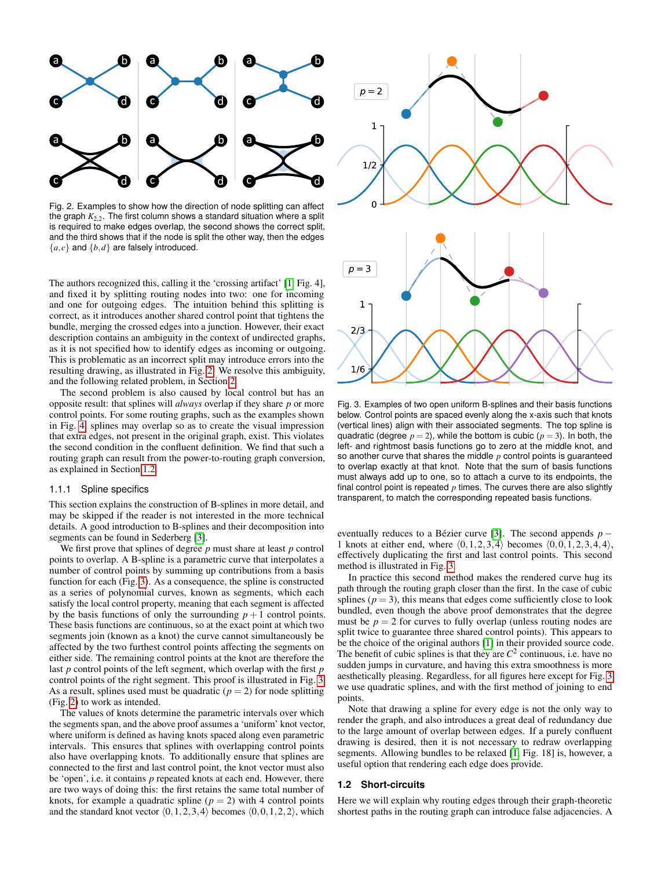

<span id="page-1-1"></span>Fig. 2. Examples to show how the direction of node splitting can affect the graph *K*2,2. The first column shows a standard situation where a split is required to make edges overlap, the second shows the correct split, and the third shows that if the node is split the other way, then the edges  ${a, c}$  and  ${b, d}$  are falsely introduced.

The authors recognized this, calling it the 'crossing artifact' [\[1,](#page-5-0) Fig. 4], and fixed it by splitting routing nodes into two: one for incoming and one for outgoing edges. The intuition behind this splitting is correct, as it introduces another shared control point that tightens the bundle, merging the crossed edges into a junction. However, their exact description contains an ambiguity in the context of undirected graphs, as it is not specified how to identify edges as incoming or outgoing. This is problematic as an incorrect split may introduce errors into the resulting drawing, as illustrated in Fig. [2.](#page-1-1) We resolve this ambiguity, and the following related problem, in Section [2.](#page-2-1)

The second problem is also caused by local control but has an opposite result: that splines will *always* overlap if they share *p* or more control points. For some routing graphs, such as the examples shown in Fig. [4,](#page-2-2) splines may overlap so as to create the visual impression that extra edges, not present in the original graph, exist. This violates the second condition in the confluent definition. We find that such a routing graph can result from the power-to-routing graph conversion, as explained in Section [1.2.](#page-1-2)

### <span id="page-1-0"></span>1.1.1 Spline specifics

This section explains the construction of B-splines in more detail, and may be skipped if the reader is not interested in the more technical details. A good introduction to B-splines and their decomposition into segments can be found in Sederberg [\[3\]](#page-5-2).

We first prove that splines of degree *p* must share at least *p* control points to overlap. A B-spline is a parametric curve that interpolates a number of control points by summing up contributions from a basis function for each (Fig. [3\)](#page-1-3). As a consequence, the spline is constructed as a series of polynomial curves, known as segments, which each satisfy the local control property, meaning that each segment is affected by the basis functions of only the surrounding  $p + 1$  control points. These basis functions are continuous, so at the exact point at which two segments join (known as a knot) the curve cannot simultaneously be affected by the two furthest control points affecting the segments on either side. The remaining control points at the knot are therefore the last *p* control points of the left segment, which overlap with the first *p* control points of the right segment. This proof is illustrated in Fig. [3.](#page-1-3) As a result, splines used must be quadratic  $(p = 2)$  for node splitting (Fig. [2\)](#page-1-1) to work as intended.

The values of knots determine the parametric intervals over which the segments span, and the above proof assumes a 'uniform' knot vector, where uniform is defined as having knots spaced along even parametric intervals. This ensures that splines with overlapping control points also have overlapping knots. To additionally ensure that splines are connected to the first and last control point, the knot vector must also be 'open', i.e. it contains *p* repeated knots at each end. However, there are two ways of doing this: the first retains the same total number of knots, for example a quadratic spline  $(p = 2)$  with 4 control points and the standard knot vector  $(0,1,2,3,4)$  becomes  $(0,0,1,2,2)$ , which



<span id="page-1-3"></span>Fig. 3. Examples of two open uniform B-splines and their basis functions below. Control points are spaced evenly along the x-axis such that knots (vertical lines) align with their associated segments. The top spline is quadratic (degree  $p = 2$ ), while the bottom is cubic ( $p = 3$ ). In both, the left- and rightmost basis functions go to zero at the middle knot, and so another curve that shares the middle *p* control points is guaranteed to overlap exactly at that knot. Note that the sum of basis functions must always add up to one, so to attach a curve to its endpoints, the final control point is repeated  $p$  times. The curves there are also slightly transparent, to match the corresponding repeated basis functions.

eventually reduces to a Bézier curve [\[3\]](#page-5-2). The second appends  $p -$ 1 knots at either end, where  $\langle 0,1,2,3,4 \rangle$  becomes  $\langle 0,0,1,2,3,4,4 \rangle$ , effectively duplicating the first and last control points. This second method is illustrated in Fig. [3.](#page-1-3)

In practice this second method makes the rendered curve hug its path through the routing graph closer than the first. In the case of cubic splines ( $p = 3$ ), this means that edges come sufficiently close to look bundled, even though the above proof demonstrates that the degree must be  $p = 2$  for curves to fully overlap (unless routing nodes are split twice to guarantee three shared control points). This appears to be the choice of the original authors [\[1\]](#page-5-0) in their provided source code. The benefit of cubic splines is that they are  $C^2$  continuous, i.e. have no sudden jumps in curvature, and having this extra smoothness is more aesthetically pleasing. Regardless, for all figures here except for Fig. [3](#page-1-3) we use quadratic splines, and with the first method of joining to end points.

Note that drawing a spline for every edge is not the only way to render the graph, and also introduces a great deal of redundancy due to the large amount of overlap between edges. If a purely confluent drawing is desired, then it is not necessary to redraw overlapping segments. Allowing bundles to be relaxed [\[1,](#page-5-0) Fig. 18] is, however, a useful option that rendering each edge does provide.

#### <span id="page-1-2"></span>**1.2 Short-circuits**

Here we will explain why routing edges through their graph-theoretic shortest paths in the routing graph can introduce false adjacencies. A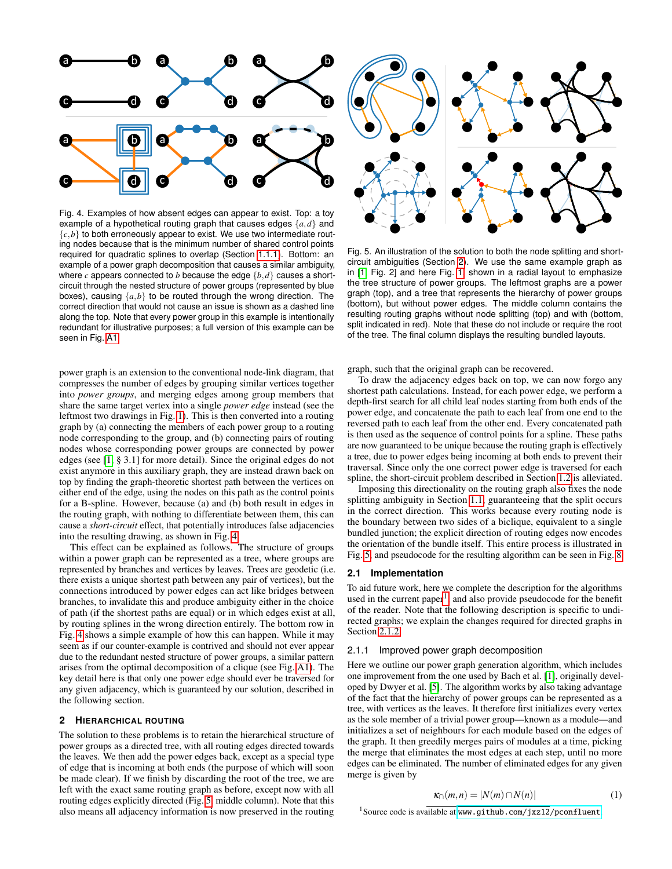

<span id="page-2-2"></span>Fig. 4. Examples of how absent edges can appear to exist. Top: a toy example of a hypothetical routing graph that causes edges {*a*,*d*} and  ${c,b}$  to both erroneously appear to exist. We use two intermediate routing nodes because that is the minimum number of shared control points required for quadratic splines to overlap (Section [1.1.1\)](#page-1-0). Bottom: an example of a power graph decomposition that causes a similar ambiguity, where *c* appears connected to *b* because the edge {*b*,*d*} causes a shortcircuit through the nested structure of power groups (represented by blue boxes), causing {*a*,*b*} to be routed through the wrong direction. The correct direction that would not cause an issue is shown as a dashed line along the top. Note that every power group in this example is intentionally redundant for illustrative purposes; a full version of this example can be seen in Fig. [A1.](#page-5-4)

power graph is an extension to the conventional node-link diagram, that compresses the number of edges by grouping similar vertices together into *power groups*, and merging edges among group members that share the same target vertex into a single *power edge* instead (see the leftmost two drawings in Fig. [1\)](#page-0-0). This is then converted into a routing graph by (a) connecting the members of each power group to a routing node corresponding to the group, and (b) connecting pairs of routing nodes whose corresponding power groups are connected by power edges (see [\[1,](#page-5-0) § 3.1] for more detail). Since the original edges do not exist anymore in this auxiliary graph, they are instead drawn back on top by finding the graph-theoretic shortest path between the vertices on either end of the edge, using the nodes on this path as the control points for a B-spline. However, because (a) and (b) both result in edges in the routing graph, with nothing to differentiate between them, this can cause a *short-circuit* effect, that potentially introduces false adjacencies into the resulting drawing, as shown in Fig. [4.](#page-2-2)

This effect can be explained as follows. The structure of groups within a power graph can be represented as a tree, where groups are represented by branches and vertices by leaves. Trees are geodetic (i.e. there exists a unique shortest path between any pair of vertices), but the connections introduced by power edges can act like bridges between branches, to invalidate this and produce ambiguity either in the choice of path (if the shortest paths are equal) or in which edges exist at all, by routing splines in the wrong direction entirely. The bottom row in Fig. [4](#page-2-2) shows a simple example of how this can happen. While it may seem as if our counter-example is contrived and should not ever appear due to the redundant nested structure of power groups, a similar pattern arises from the optimal decomposition of a clique (see Fig. [A1\)](#page-5-4). The key detail here is that only one power edge should ever be traversed for any given adjacency, which is guaranteed by our solution, described in the following section.

#### <span id="page-2-1"></span>**2 HIERARCHICAL ROUTING**

The solution to these problems is to retain the hierarchical structure of power groups as a directed tree, with all routing edges directed towards the leaves. We then add the power edges back, except as a special type of edge that is incoming at both ends (the purpose of which will soon be made clear). If we finish by discarding the root of the tree, we are left with the exact same routing graph as before, except now with all routing edges explicitly directed (Fig. [5,](#page-2-3) middle column). Note that this also means all adjacency information is now preserved in the routing



<span id="page-2-3"></span>Fig. 5. An illustration of the solution to both the node splitting and shortcircuit ambiguities (Section [2\)](#page-2-1). We use the same example graph as in [\[1,](#page-5-0) Fig. 2] and here Fig. [1,](#page-0-0) shown in a radial layout to emphasize the tree structure of power groups. The leftmost graphs are a power graph (top), and a tree that represents the hierarchy of power groups (bottom), but without power edges. The middle column contains the resulting routing graphs without node splitting (top) and with (bottom, split indicated in red). Note that these do not include or require the root of the tree. The final column displays the resulting bundled layouts.

graph, such that the original graph can be recovered.

To draw the adjacency edges back on top, we can now forgo any shortest path calculations. Instead, for each power edge, we perform a depth-first search for all child leaf nodes starting from both ends of the power edge, and concatenate the path to each leaf from one end to the reversed path to each leaf from the other end. Every concatenated path is then used as the sequence of control points for a spline. These paths are now guaranteed to be unique because the routing graph is effectively a tree, due to power edges being incoming at both ends to prevent their traversal. Since only the one correct power edge is traversed for each spline, the short-circuit problem described in Section [1.2](#page-1-2) is alleviated.

Imposing this directionality on the routing graph also fixes the node splitting ambiguity in Section [1.1,](#page-0-1) guaranteeing that the split occurs in the correct direction. This works because every routing node is the boundary between two sides of a biclique, equivalent to a single bundled junction; the explicit direction of routing edges now encodes the orientation of the bundle itself. This entire process is illustrated in Fig. [5,](#page-2-3) and pseudocode for the resulting algorithm can be seen in Fig. [8.](#page-3-0)

### <span id="page-2-0"></span>**2.1 Implementation**

To aid future work, here we complete the description for the algorithms used in the current paper<sup>[1](#page-2-4)</sup>, and also provide pseudocode for the benefit of the reader. Note that the following description is specific to undirected graphs; we explain the changes required for directed graphs in Section [2.1.2.](#page-4-1)

#### 2.1.1 Improved power graph decomposition

Here we outline our power graph generation algorithm, which includes one improvement from the one used by Bach et al. [\[1\]](#page-5-0), originally developed by Dwyer et al. [\[5\]](#page-5-5). The algorithm works by also taking advantage of the fact that the hierarchy of power groups can be represented as a tree, with vertices as the leaves. It therefore first initializes every vertex as the sole member of a trivial power group—known as a module—and initializes a set of neighbours for each module based on the edges of the graph. It then greedily merges pairs of modules at a time, picking the merge that eliminates the most edges at each step, until no more edges can be eliminated. The number of eliminated edges for any given merge is given by

$$
\kappa_{\cap}(m,n) = |N(m) \cap N(n)| \tag{1}
$$

<span id="page-2-4"></span><sup>1</sup>Source code is available at <www.github.com/jxz12/pconfluent>.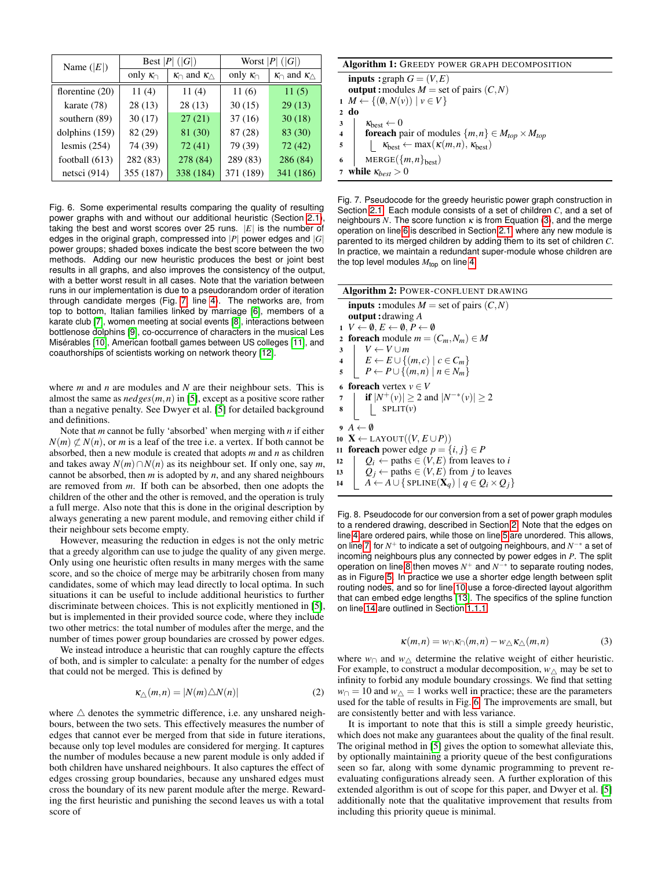| Name $( E )$    | Best $ P $ ( $ G $ ) |                                          | Worst $ P $ ( $ G $ ) |                                       |
|-----------------|----------------------|------------------------------------------|-----------------------|---------------------------------------|
|                 | only $\kappa_{\cap}$ | $\kappa_{\cap}$ and $\kappa_{\triangle}$ | only $\kappa_{\cap}$  | $\kappa_{\cap}$ and $\kappa_{\wedge}$ |
| florentine (20) | 11(4)                | 11(4)                                    | 11(6)                 | 11(5)                                 |
| karate (78)     | 28(13)               | 28(13)                                   | 30(15)                | 29(13)                                |
| southern (89)   | 30(17)               | 27(21)                                   | 37(16)                | 30(18)                                |
| dolphins (159)  | 82 (29)              | 81 (30)                                  | 87 (28)               | 83 (30)                               |
| lesmis $(254)$  | 74 (39)              | 72(41)                                   | 79 (39)               | 72(42)                                |
| football (613)  | 282 (83)             | 278 (84)                                 | 289 (83)              | 286 (84)                              |
| netsci (914)    | 355 (187)            | 338 (184)                                | 371 (189)             | 341 (186)                             |

<span id="page-3-11"></span>Fig. 6. Some experimental results comparing the quality of resulting power graphs with and without our additional heuristic (Section [2.1\)](#page-2-0), taking the best and worst scores over 25 runs. |*E*| is the number of edges in the original graph, compressed into |*P*| power edges and |*G*| power groups; shaded boxes indicate the best score between the two methods. Adding our new heuristic produces the best or joint best results in all graphs, and also improves the consistency of the output, with a better worst result in all cases. Note that the variation between runs in our implementation is due to a pseudorandom order of iteration through candidate merges (Fig. [7,](#page-3-1) line [4\)](#page-3-2). The networks are, from top to bottom, Italian families linked by marriage [\[6\]](#page-5-6), members of a karate club [\[7\]](#page-5-7), women meeting at social events [\[8\]](#page-5-8), interactions between bottlenose dolphins [\[9\]](#page-5-9), co-occurrence of characters in the musical Les Misérables [\[10\]](#page-5-10), American football games between US colleges [\[11\]](#page-5-11), and coauthorships of scientists working on network theory [\[12\]](#page-5-12).

where *m* and *n* are modules and *N* are their neighbour sets. This is almost the same as *nedges*(*m*,*n*) in [\[5\]](#page-5-5), except as a positive score rather than a negative penalty. See Dwyer et al. [\[5\]](#page-5-5) for detailed background and definitions.

Note that *m* cannot be fully 'absorbed' when merging with *n* if either  $N(m) \not\subset N(n)$ , or *m* is a leaf of the tree i.e. a vertex. If both cannot be absorbed, then a new module is created that adopts *m* and *n* as children and takes away  $N(m) \cap N(n)$  as its neighbour set. If only one, say *m*, cannot be absorbed, then *m* is adopted by *n*, and any shared neighbours are removed from *m*. If both can be absorbed, then one adopts the children of the other and the other is removed, and the operation is truly a full merge. Also note that this is done in the original description by always generating a new parent module, and removing either child if their neighbour sets become empty.

However, measuring the reduction in edges is not the only metric that a greedy algorithm can use to judge the quality of any given merge. Only using one heuristic often results in many merges with the same score, and so the choice of merge may be arbitrarily chosen from many candidates, some of which may lead directly to local optima. In such situations it can be useful to include additional heuristics to further discriminate between choices. This is not explicitly mentioned in [\[5\]](#page-5-5), but is implemented in their provided source code, where they include two other metrics: the total number of modules after the merge, and the number of times power group boundaries are crossed by power edges.

We instead introduce a heuristic that can roughly capture the effects of both, and is simpler to calculate: a penalty for the number of edges that could not be merged. This is defined by

$$
\kappa_{\triangle}(m,n) = |N(m)\triangle N(n)| \tag{2}
$$

where  $\triangle$  denotes the symmetric difference, i.e. any unshared neighbours, between the two sets. This effectively measures the number of edges that cannot ever be merged from that side in future iterations, because only top level modules are considered for merging. It captures the number of modules because a new parent module is only added if both children have unshared neighbours. It also captures the effect of edges crossing group boundaries, because any unshared edges must cross the boundary of its new parent module after the merge. Rewarding the first heuristic and punishing the second leaves us with a total score of

|                         | <b>Algorithm 1:</b> GREEDY POWER GRAPH DECOMPOSITION                     |
|-------------------------|--------------------------------------------------------------------------|
|                         | <b>inputs</b> : graph $G = (V, E)$                                       |
|                         | <b>output</b> : modules $M =$ set of pairs $(C, N)$                      |
|                         | $1 M \leftarrow \{(\emptyset, N(v)) \mid v \in V\}$                      |
| $2 \text{ do}$          |                                                                          |
| 3                       | $\kappa_{\text{best}} \leftarrow 0$                                      |
| $\overline{\mathbf{4}}$ | <b>for<br/>each</b> pair of modules $\{m,n\} \in M_{top} \times M_{top}$ |
| 5                       | $\kappa_{best} \leftarrow \max(\kappa(m,n), \kappa_{best})$              |
| 6                       | $MERGE({m,n}_{best})$                                                    |
|                         | while $\kappa_{best} > 0$                                                |

<span id="page-3-4"></span><span id="page-3-2"></span><span id="page-3-1"></span>Fig. 7. Pseudocode for the greedy heuristic power graph construction in Section [2.1.](#page-2-0) Each module consists of a set of children *C*, and a set of neighbours *N*. The score function  $\kappa$  is from Equation [\(3\)](#page-3-3), and the merge operation on line [6](#page-3-4) is described in Section [2.1,](#page-2-0) where any new module is parented to its merged children by adding them to its set of children *C*. In practice, we maintain a redundant super-module whose children are the top level modules *M*top on line [4.](#page-3-2)

<span id="page-3-7"></span><span id="page-3-6"></span><span id="page-3-5"></span>

| <b>Algorithm 2: POWER-CONFLUENT DRAWING</b>                                     |
|---------------------------------------------------------------------------------|
| <b>inputs</b> : modules $M =$ set of pairs $(C, N)$                             |
| <b>output</b> : drawing $\vec{A}$                                               |
| $1 \ V \leftarrow \emptyset, E \leftarrow \emptyset, P \leftarrow \emptyset$    |
| 2 foreach module $m = (C_m, N_m) \in M$                                         |
| $V \leftarrow V \cup m$<br>3                                                    |
| $E \leftarrow E \cup \{(m,c) \mid c \in C_m\}$<br>$\overline{4}$                |
| $P \leftarrow P \cup \{(m,n) \mid n \in N_m\}$<br>5                             |
| 6 <b>foreach</b> vertex $v \in V$                                               |
| if $ N^+(v)  \ge 2$ and $ N^{-*}(v)  \ge 2$<br>7                                |
| SPLIT(v)<br>8                                                                   |
| $9 \; A \leftarrow \emptyset$                                                   |
| 10 <b>X</b> $\leftarrow$ LAYOUT $((V, E \cup P))$                               |
| <b>foreach</b> power edge $p = \{i, j\} \in P$<br>11                            |
| $Q_i \leftarrow$ paths $\in (V, E)$ from leaves to i<br>12                      |
| $Q_i \leftarrow$ paths $\in (V, E)$ from j to leaves<br>13                      |
| $A \leftarrow A \cup \{$ SPLINE $(\mathbf{X}_q)   q \in Q_i \times Q_j\}$<br>14 |
|                                                                                 |

<span id="page-3-10"></span><span id="page-3-9"></span><span id="page-3-8"></span><span id="page-3-0"></span>Fig. 8. Pseudocode for our conversion from a set of power graph modules to a rendered drawing, described in Section [2.](#page-2-1) Note that the edges on line [4](#page-3-5) are ordered pairs, while those on line [5](#page-3-6) are unordered. This allows, on line [7,](#page-3-7) for *N* <sup>+</sup> to indicate a set of outgoing neighbours, and *N* −∗ a set of incoming neighbours plus any connected by power edges in *P*. The split operation on line [8](#page-3-8) then moves  $N^+$  and  $N^{-*}$  to separate routing nodes, as in Figure [5.](#page-2-3) In practice we use a shorter edge length between split routing nodes, and so for line [10](#page-3-9) use a force-directed layout algorithm that can embed edge lengths [\[13\]](#page-5-13). The specifics of the spline function on line [14](#page-3-10) are outlined in Section [1.1.1.](#page-1-0)

<span id="page-3-3"></span>
$$
\kappa(m,n) = w_{\cap} \kappa_{\cap}(m,n) - w_{\triangle} \kappa_{\triangle}(m,n) \tag{3}
$$

where  $w_{\cap}$  and  $w_{\wedge}$  determine the relative weight of either heuristic. For example, to construct a modular decomposition,  $w \wedge$  may be set to infinity to forbid any module boundary crossings. We find that setting  $w<sub>∩</sub> = 10$  and  $w<sub>∆</sub> = 1$  works well in practice; these are the parameters used for the table of results in Fig. [6.](#page-3-11) The improvements are small, but are consistently better and with less variance.

It is important to note that this is still a simple greedy heuristic, which does not make any guarantees about the quality of the final result. The original method in [\[5\]](#page-5-5) gives the option to somewhat alleviate this, by optionally maintaining a priority queue of the best configurations seen so far, along with some dynamic programming to prevent reevaluating configurations already seen. A further exploration of this extended algorithm is out of scope for this paper, and Dwyer et al. [\[5\]](#page-5-5) additionally note that the qualitative improvement that results from including this priority queue is minimal.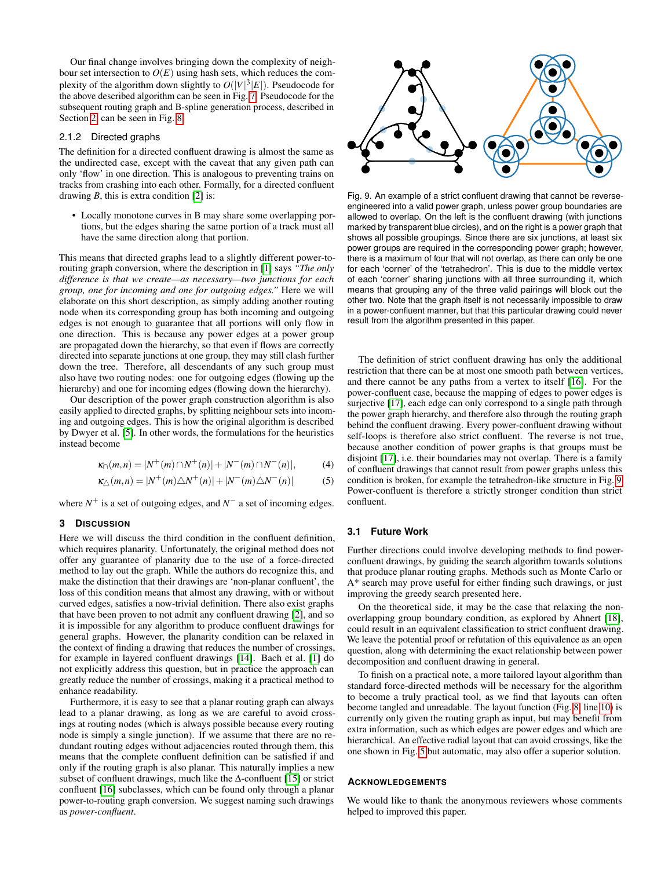Our final change involves bringing down the complexity of neighbour set intersection to  $O(E)$  using hash sets, which reduces the complexity of the algorithm down slightly to  $O(|V|^3|E|)$ . Pseudocode for the above described algorithm can be seen in Fig. [7.](#page-3-1) Pseudocode for the subsequent routing graph and B-spline generation process, described in Section [2,](#page-2-1) can be seen in Fig. [8.](#page-3-0)

## <span id="page-4-1"></span>2.1.2 Directed graphs

The definition for a directed confluent drawing is almost the same as the undirected case, except with the caveat that any given path can only 'flow' in one direction. This is analogous to preventing trains on tracks from crashing into each other. Formally, for a directed confluent drawing *B*, this is extra condition [\[2\]](#page-5-1) is:

• Locally monotone curves in B may share some overlapping portions, but the edges sharing the same portion of a track must all have the same direction along that portion.

This means that directed graphs lead to a slightly different power-torouting graph conversion, where the description in [\[1\]](#page-5-0) says *"The only difference is that we create—as necessary—two junctions for each group, one for incoming and one for outgoing edges."* Here we will elaborate on this short description, as simply adding another routing node when its corresponding group has both incoming and outgoing edges is not enough to guarantee that all portions will only flow in one direction. This is because any power edges at a power group are propagated down the hierarchy, so that even if flows are correctly directed into separate junctions at one group, they may still clash further down the tree. Therefore, all descendants of any such group must also have two routing nodes: one for outgoing edges (flowing up the hierarchy) and one for incoming edges (flowing down the hierarchy).

Our description of the power graph construction algorithm is also easily applied to directed graphs, by splitting neighbour sets into incoming and outgoing edges. This is how the original algorithm is described by Dwyer et al. [\[5\]](#page-5-5). In other words, the formulations for the heuristics instead become

$$
\kappa_{\cap}(m,n) = |N^+(m) \cap N^+(n)| + |N^-(m) \cap N^-(n)|, \tag{4}
$$

$$
\kappa_{\triangle}(m,n) = |N^+(m)\triangle N^+(n)| + |N^-(m)\triangle N^-(n)|
$$
 (5)

where  $N^+$  is a set of outgoing edges, and  $N^-$  a set of incoming edges.

#### <span id="page-4-0"></span>**3 DISCUSSION**

Here we will discuss the third condition in the confluent definition, which requires planarity. Unfortunately, the original method does not offer any guarantee of planarity due to the use of a force-directed method to lay out the graph. While the authors do recognize this, and make the distinction that their drawings are 'non-planar confluent', the loss of this condition means that almost any drawing, with or without curved edges, satisfies a now-trivial definition. There also exist graphs that have been proven to not admit any confluent drawing [\[2\]](#page-5-1), and so it is impossible for any algorithm to produce confluent drawings for general graphs. However, the planarity condition can be relaxed in the context of finding a drawing that reduces the number of crossings, for example in layered confluent drawings [\[14\]](#page-5-14). Bach et al. [\[1\]](#page-5-0) do not explicitly address this question, but in practice the approach can greatly reduce the number of crossings, making it a practical method to enhance readability.

Furthermore, it is easy to see that a planar routing graph can always lead to a planar drawing, as long as we are careful to avoid crossings at routing nodes (which is always possible because every routing node is simply a single junction). If we assume that there are no redundant routing edges without adjacencies routed through them, this means that the complete confluent definition can be satisfied if and only if the routing graph is also planar. This naturally implies a new subset of confluent drawings, much like the ∆-confluent [\[15\]](#page-5-15) or strict confluent [\[16\]](#page-5-16) subclasses, which can be found only through a planar power-to-routing graph conversion. We suggest naming such drawings as *power-confluent*.



<span id="page-4-2"></span>Fig. 9. An example of a strict confluent drawing that cannot be reverseengineered into a valid power graph, unless power group boundaries are allowed to overlap. On the left is the confluent drawing (with junctions marked by transparent blue circles), and on the right is a power graph that shows all possible groupings. Since there are six junctions, at least six power groups are required in the corresponding power graph; however, there is a maximum of four that will not overlap, as there can only be one for each 'corner' of the 'tetrahedron'. This is due to the middle vertex of each 'corner' sharing junctions with all three surrounding it, which means that grouping any of the three valid pairings will block out the other two. Note that the graph itself is not necessarily impossible to draw in a power-confluent manner, but that this particular drawing could never result from the algorithm presented in this paper.

The definition of strict confluent drawing has only the additional restriction that there can be at most one smooth path between vertices, and there cannot be any paths from a vertex to itself [\[16\]](#page-5-16). For the power-confluent case, because the mapping of edges to power edges is surjective [\[17\]](#page-5-17), each edge can only correspond to a single path through the power graph hierarchy, and therefore also through the routing graph behind the confluent drawing. Every power-confluent drawing without self-loops is therefore also strict confluent. The reverse is not true, because another condition of power graphs is that groups must be disjoint [\[17\]](#page-5-17), i.e. their boundaries may not overlap. There is a family of confluent drawings that cannot result from power graphs unless this condition is broken, for example the tetrahedron-like structure in Fig. [9.](#page-4-2) Power-confluent is therefore a strictly stronger condition than strict confluent.

# **3.1 Future Work**

Further directions could involve developing methods to find powerconfluent drawings, by guiding the search algorithm towards solutions that produce planar routing graphs. Methods such as Monte Carlo or A\* search may prove useful for either finding such drawings, or just improving the greedy search presented here.

On the theoretical side, it may be the case that relaxing the nonoverlapping group boundary condition, as explored by Ahnert [\[18\]](#page-5-18), could result in an equivalent classification to strict confluent drawing. We leave the potential proof or refutation of this equivalence as an open question, along with determining the exact relationship between power decomposition and confluent drawing in general.

To finish on a practical note, a more tailored layout algorithm than standard force-directed methods will be necessary for the algorithm to become a truly practical tool, as we find that layouts can often become tangled and unreadable. The layout function (Fig. [8,](#page-3-0) line [10\)](#page-3-9) is currently only given the routing graph as input, but may benefit from extra information, such as which edges are power edges and which are hierarchical. An effective radial layout that can avoid crossings, like the one shown in Fig. [5](#page-2-3) but automatic, may also offer a superior solution.

#### **ACKNOWLEDGEMENTS**

We would like to thank the anonymous reviewers whose comments helped to improved this paper.